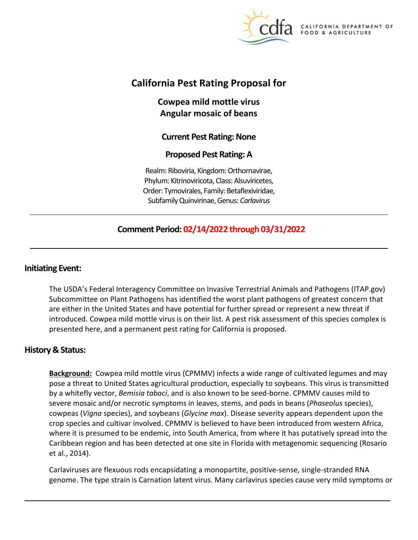

A DEPARTMENT OF FOOD & AGRICULTURE

# **California Pest Rating Proposal for**

**Cowpea mild mottle virus Angular mosaic of beans** 

# **Current Pest Rating: None**

# **Proposed Pest Rating: A**

Realm: Riboviria, Kingdom: Orthornavirae, Phylum: Kitrinoviricota, Class: Alsuviricetes, Order: Tymovirales, Family: Betaflexiviridae, Subfamily Quinvirinae, Genus: *Carlavirus* 

# **Comment Period: 02/14/2022 through 03/31/2022**

## **Initiating Event:**

The USDA's Federal Interagency Committee on Invasive Terrestrial Animals and Pathogens [\(ITAP.gov\)](https://ITAP.gov) Subcommittee on Plant Pathogens has identified the worst plant pathogens of greatest concern that are either in the United States and have potential for further spread or represent a new threat if introduced. Cowpea mild mottle virus is on their list. A pest risk assessment of this species complex is presented here, and a permanent pest rating for California is proposed.

# **History & Status:**

**Background:** Cowpea mild mottle virus (CPMMV) infects a wide range of cultivated legumes and may pose a threat to United States agricultural production, especially to soybeans. This virus is transmitted by a whitefly vector, *Bemisia tabaci*, and is also known to be seed-borne. CPMMV causes mild to severe mosaic and/or necrotic symptoms in leaves, stems, and pods in beans (*Phaseolus* species), cowpeas (*Vigna* species), and soybeans (*Glycine max*). Disease severity appears dependent upon the crop species and cultivar involved. CPMMV is believed to have been introduced from western Africa, where it is presumed to be endemic, into South America, from where it has putatively spread into the Caribbean region and has been detected at one site in Florida with metagenomic sequencing (Rosario et al., 2014).

Carlaviruses are flexuous rods encapsidating a monopartite, positive-sense, single-stranded RNA genome. The type strain is Carnation latent virus. Many carlavirus species cause very mild symptoms or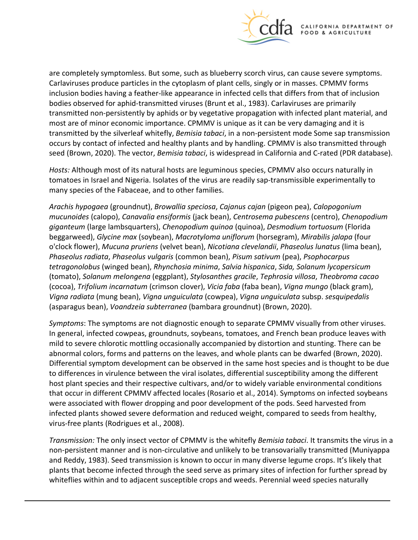

are completely symptomless. But some, such as blueberry scorch virus, can cause severe symptoms. Carlaviruses produce particles in the cytoplasm of plant cells, singly or in masses. CPMMV forms inclusion bodies having a feather-like appearance in infected cells that differs from that of inclusion bodies observed for aphid-transmitted viruses (Brunt et al., 1983). Carlaviruses are primarily transmitted non-persistently by aphids or by vegetative propagation with infected plant material, and most are of minor economic importance. CPMMV is unique as it can be very damaging and it is transmitted by the silverleaf whitefly, *Bemisia tabaci*, in a non-persistent mode Some sap transmission occurs by contact of infected and healthy plants and by handling. CPMMV is also transmitted through seed (Brown, 2020). The vector, *Bemisia tabaci*, is widespread in California and C-rated (PDR database).

*Hosts:* Although most of its natural hosts are leguminous species, CPMMV also occurs naturally in tomatoes in Israel and Nigeria. Isolates of the virus are readily sap-transmissible experimentally to many species of the Fabaceae, and to other families.

*Arachis hypogaea* (groundnut), *Browallia speciosa*, *Cajanus cajan* (pigeon pea), *Calopogonium mucunoides* (calopo), *Canavalia ensiformis* (jack bean), *Centrosema pubescens* (centro), *Chenopodium giganteum* (large lambsquarters), *Chenopodium quinoa* (quinoa), *Desmodium tortuosum* (Florida beggarweed), *Glycine max* (soybean), *Macrotyloma uniflorum* (horsegram), *Mirabilis jalapa* (four o'clock flower), *Mucuna pruriens* (velvet bean), *Nicotiana clevelandii*, *Phaseolus lunatus* (lima bean), *Phaseolus radiata*, *Phaseolus vulgaris* (common bean), *Pisum sativum* (pea), *Psophocarpus tetragonolobus* (winged bean), *Rhynchosia minima*, *Salvia hispanica*, *Sida, Solanum lycopersicum*  (tomato), *Solanum melongena* (eggplant), *Stylosanthes gracile*, *Tephrosia villosa*, *Theobroma cacao*  (cocoa), *Trifolium incarnatum* (crimson clover), *Vicia faba* (faba bean), *Vigna mungo* (black gram), *Vigna radiata* (mung bean), *Vigna unguiculata* (cowpea), *Vigna unguiculata* subsp. *sesquipedalis*  (asparagus bean), *Voandzeia subterranea* (bambara groundnut) (Brown, 2020).

*Symptoms*: The symptoms are not diagnostic enough to separate CPMMV visually from other viruses. In general, infected cowpeas, groundnuts, soybeans, tomatoes, and French bean produce leaves with mild to severe chlorotic mottling occasionally accompanied by distortion and stunting. There can be abnormal colors, forms and patterns on the leaves, and whole plants can be dwarfed (Brown, 2020). Differential symptom development can be observed in the same host species and is thought to be due to differences in virulence between the viral isolates, differential susceptibility among the different host plant species and their respective cultivars, and/or to widely variable environmental conditions that occur in different CPMMV affected locales (Rosario et al., 2014). Symptoms on infected soybeans were associated with flower dropping and poor development of the pods. Seed harvested from infected plants showed severe deformation and reduced weight, compared to seeds from healthy, virus-free plants (Rodrigues et al., 2008).

*Transmission:* The only insect vector of CPMMV is the whitefly *Bemisia tabaci*. It transmits the virus in a non-persistent manner and is non-circulative and unlikely to be transovarially transmitted (Muniyappa and Reddy, 1983). Seed transmission is known to occur in many diverse legume crops. It's likely that plants that become infected through the seed serve as primary sites of infection for further spread by whiteflies within and to adjacent susceptible crops and weeds. Perennial weed species naturally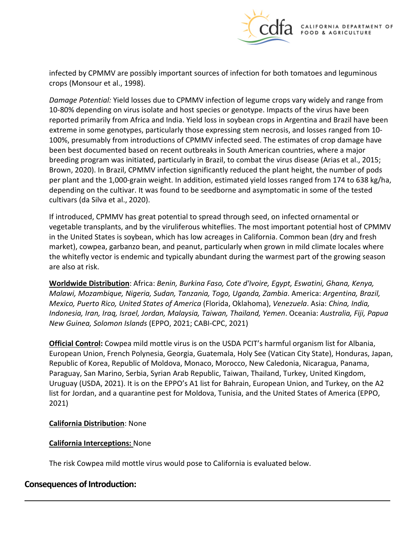

infected by CPMMV are possibly important sources of infection for both tomatoes and leguminous crops (Monsour et al., 1998).

*Damage Potential:* Yield losses due to CPMMV infection of legume crops vary widely and range from 10-80% depending on virus isolate and host species or genotype. Impacts of the virus have been reported primarily from Africa and India. Yield loss in soybean crops in Argentina and Brazil have been extreme in some genotypes, particularly those expressing stem necrosis, and losses ranged from 10- 100%, presumably from introductions of CPMMV infected seed. The estimates of crop damage have been best documented based on recent outbreaks in South American countries, where a major breeding program was initiated, particularly in Brazil, to combat the virus disease (Arias et al., 2015; Brown, 2020). In Brazil, CPMMV infection significantly reduced the plant height, the number of pods per plant and the 1,000-grain weight. In addition, estimated yield losses ranged from 174 to 638 kg/ha, depending on the cultivar. It was found to be seedborne and asymptomatic in some of the tested cultivars (da Silva et al., 2020).

If introduced, CPMMV has great potential to spread through seed, on infected ornamental or vegetable transplants, and by the viruliferous whiteflies. The most important potential host of CPMMV in the United States is soybean, which has low acreages in California. Common bean (dry and fresh market), cowpea, garbanzo bean, and peanut, particularly when grown in mild climate locales where the whitefly vector is endemic and typically abundant during the warmest part of the growing season are also at risk.

**Worldwide Distribution**: Africa: *Benin, Burkina Faso, Cote d'Ivoire, Egypt, Eswatini, Ghana, Kenya, Malawi, Mozambique, Nigeria, Sudan, Tanzania, Togo, Uganda, Zambia*. America: *Argentina, Brazil, Mexico, Puerto Rico, United States of America* (Florida, Oklahoma), *Venezuela*. Asia: *China, India, Indonesia, Iran, Iraq, Israel, Jordan, Malaysia, Taiwan, Thailand, Yemen*. Oceania: *Australia, Fiji, Papua New Guinea, Solomon Islands* (EPPO, 2021; CABI-CPC, 2021)

**Official Control:** Cowpea mild mottle virus is on the USDA PCIT's harmful organism list for Albania, European Union, French Polynesia, Georgia, Guatemala, Holy See (Vatican City State), Honduras, Japan, Republic of Korea, Republic of Moldova, Monaco, Morocco, New Caledonia, Nicaragua, Panama, Paraguay, San Marino, Serbia, Syrian Arab Republic, Taiwan, Thailand, Turkey, United Kingdom, Uruguay (USDA, 2021). It is on the EPPO's A1 list for Bahrain, European Union, and Turkey, on the A2 list for Jordan, and a quarantine pest for Moldova, Tunisia, and the United States of America (EPPO, 2021)

### **California Distribution**: None

### **California Interceptions:** None

The risk Cowpea mild mottle virus would pose to California is evaluated below.

# **Consequences of Introduction:**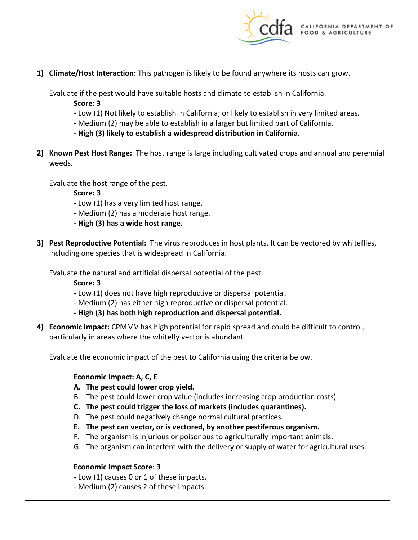

**1) Climate/Host Interaction:** This pathogen is likely to be found anywhere its hosts can grow.

Evaluate if the pest would have suitable hosts and climate to establish in California.

- **Score**: **3**
- Low (1) Not likely to establish in California; or likely to establish in very limited areas.
- Medium (2) may be able to establish in a larger but limited part of California.
- **- High (3) likely to establish a widespread distribution in California.**
- **2) Known Pest Host Range:** The host range is large including cultivated crops and annual and perennial weeds.

Evaluate the host range of the pest.

**Score: 3** 

- Low (1) has a very limited host range.
- Medium (2) has a moderate host range.
- **- High (3) has a wide host range.**
- **3) Pest Reproductive Potential:** The virus reproduces in host plants. It can be vectored by whiteflies, including one species that is widespread in California.

Evaluate the natural and artificial dispersal potential of the pest.

**Score: 3** 

- Low (1) does not have high reproductive or dispersal potential.
- Medium (2) has either high reproductive or dispersal potential.
- **- High (3) has both high reproduction and dispersal potential.**
- **4) Economic Impact:** CPMMV has high potential for rapid spread and could be difficult to control, particularly in areas where the whitefly vector is abundant

Evaluate the economic impact of the pest to California using the criteria below.

### **Economic Impact: A, C, E**

- **A. The pest could lower crop yield.**
- B. The pest could lower crop value (includes increasing crop production costs).
- **C. The pest could trigger the loss of markets (includes quarantines).**
- D. The pest could negatively change normal cultural practices.
- **E. The pest can vector, or is vectored, by another pestiferous organism.**
- F. The organism is injurious or poisonous to agriculturally important animals.
- G. The organism can interfere with the delivery or supply of water for agricultural uses.

## **Economic Impact Score**: **3**

- Low (1) causes 0 or 1 of these impacts.
- Medium (2) causes 2 of these impacts.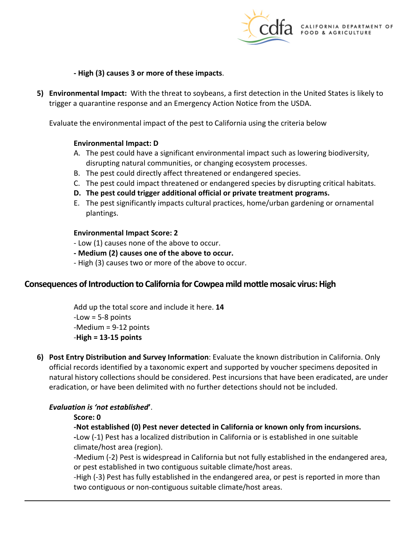

**- High (3) causes 3 or more of these impacts**.

**5) Environmental Impact:** With the threat to soybeans, a first detection in the United States is likely to trigger a quarantine response and an Emergency Action Notice from the USDA.

Evaluate the environmental impact of the pest to California using the criteria below

### **Environmental Impact: D**

- A. The pest could have a significant environmental impact such as lowering biodiversity, disrupting natural communities, or changing ecosystem processes.
- B. The pest could directly affect threatened or endangered species.
- C. The pest could impact threatened or endangered species by disrupting critical habitats.
- **D. The pest could trigger additional official or private treatment programs.**
- E. The pest significantly impacts cultural practices, home/urban gardening or ornamental plantings.

#### **Environmental Impact Score: 2**

- Low (1) causes none of the above to occur.
- **- Medium (2) causes one of the above to occur.**
- High (3) causes two or more of the above to occur.

## **Consequences of Introduction to California for Cowpea mild mottle mosaic virus: High**

Add up the total score and include it here. **14**   $-Low = 5-8$  points -Medium = 9-12 points -**High = 13-15 points** 

**6) Post Entry Distribution and Survey Information**: Evaluate the known distribution in California. Only official records identified by a taxonomic expert and supported by voucher specimens deposited in natural history collections should be considered. Pest incursions that have been eradicated, are under eradication, or have been delimited with no further detections should not be included.

### *Evaluation is 'not established***'**.

### **Score: 0**

### **-Not established (0) Pest never detected in California or known only from incursions.**

**-**Low (-1) Pest has a localized distribution in California or is established in one suitable climate/host area (region).

-Medium (-2) Pest is widespread in California but not fully established in the endangered area, or pest established in two contiguous suitable climate/host areas.

-High (-3) Pest has fully established in the endangered area, or pest is reported in more than two contiguous or non-contiguous suitable climate/host areas.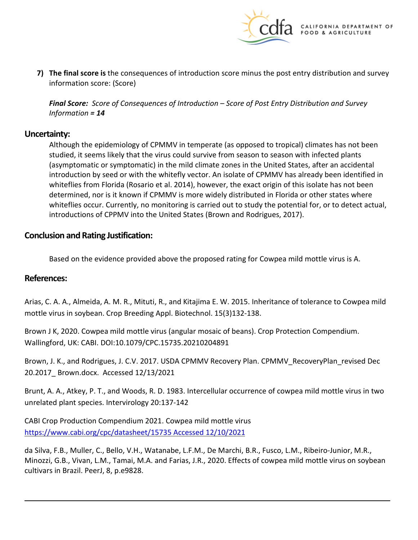

**7) The final score is** the consequences of introduction score minus the post entry distribution and survey information score: (Score)

*Final Score: Score of Consequences of Introduction – Score of Post Entry Distribution and Survey Information = 14* 

## **Uncertainty:**

Although the epidemiology of CPMMV in temperate (as opposed to tropical) climates has not been studied, it seems likely that the virus could survive from season to season with infected plants (asymptomatic or symptomatic) in the mild climate zones in the United States, after an accidental introduction by seed or with the whitefly vector. An isolate of CPMMV has already been identified in whiteflies from Florida (Rosario et al. 2014), however, the exact origin of this isolate has not been determined, nor is it known if CPMMV is more widely distributed in Florida or other states where whiteflies occur. Currently, no monitoring is carried out to study the potential for, or to detect actual, introductions of CPPMV into the United States (Brown and Rodrigues, 2017).

## **Conclusion and Rating Justification:**

Based on the evidence provided above the proposed rating for Cowpea mild mottle virus is A.

### **References:**

Arias, C. A. A., Almeida, A. M. R., Mituti, R., and Kitajima E. W. 2015. Inheritance of tolerance to Cowpea mild mottle virus in soybean. Crop Breeding Appl. Biotechnol. 15(3)132-138.

Brown J K, 2020. Cowpea mild mottle virus (angular mosaic of beans). Crop Protection Compendium. Wallingford, UK: CABI. DOI:10.1079/CPC.15735.20210204891

Brown, J. K., and Rodrigues, J. C.V. 2017. USDA CPMMV Recovery Plan. CPMMV\_RecoveryPlan\_revised Dec 20.2017\_ Brown.docx. Accessed 12/13/2021

Brunt, A. A., Atkey, P. T., and Woods, R. D. 1983. Intercellular occurrence of cowpea mild mottle virus in two unrelated plant species. Intervirology 20:137-142

CABI Crop Production Compendium 2021. Cowpea mild mottle virus [https://www.cabi.org/cpc/datasheet/15735 Accessed 12/10/2021](https://www.cabi.org/cpc/datasheet/15735%20Accessed%2012/10/2021) 

da Silva, F.B., Muller, C., Bello, V.H., Watanabe, L.F.M., De Marchi, B.R., Fusco, L.M., Ribeiro-Junior, M.R., Minozzi, G.B., Vivan, L.M., Tamai, M.A. and Farias, J.R., 2020. Effects of cowpea mild mottle virus on soybean cultivars in Brazil. PeerJ, 8, p.e9828.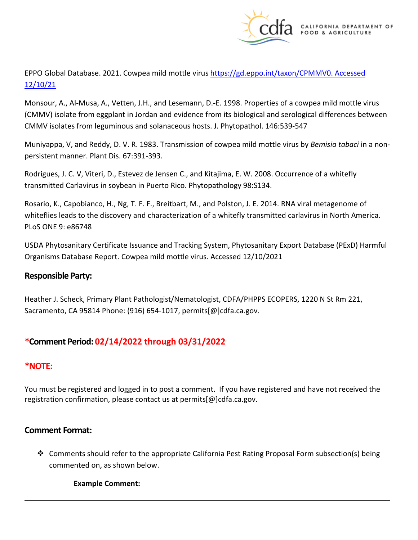

EPPO Global Database. 2021. Cowpea mild mottle virus [https://gd.eppo.int/taxon/CPMMV0. Accessed](https://gd.eppo.int/taxon/CPMMV0.%20Accessed%2012/10/21)  [12/10/21](https://gd.eppo.int/taxon/CPMMV0.%20Accessed%2012/10/21) 

Monsour, A., Al-Musa, A., Vetten, J.H., and Lesemann, D.-E. 1998. Properties of a cowpea mild mottle virus (CMMV) isolate from eggplant in Jordan and evidence from its biological and serological differences between CMMV isolates from leguminous and solanaceous hosts. J. Phytopathol. 146:539-547

Muniyappa, V, and Reddy, D. V. R. 1983. Transmission of cowpea mild mottle virus by *Bemisia tabaci* in a nonpersistent manner. Plant Dis. 67:391-393.

Rodrigues, J. C. V, Viteri, D., Estevez de Jensen C., and Kitajima, E. W. 2008. Occurrence of a whitefly transmitted Carlavirus in soybean in Puerto Rico. Phytopathology 98:S134.

Rosario, K., Capobianco, H., Ng, T. F. F., Breitbart, M., and Polston, J. E. 2014. RNA viral metagenome of whiteflies leads to the discovery and characterization of a whitefly transmitted carlavirus in North America. PLoS ONE 9: e86748

USDA Phytosanitary Certificate Issuance and Tracking System, Phytosanitary Export Database (PExD) Harmful Organisms Database Report. Cowpea mild mottle virus. Accessed 12/10/2021

# **Responsible Party:**

Heather J. Scheck, Primary Plant Pathologist/Nematologist, CDFA/PHPPS ECOPERS, 1220 N St Rm 221, Sacramento, CA 95814 Phone: (916) 654-1017, [permits\[@\]cdfa.ca.gov](https://permits[@]cdfa.ca.gov).

# **\*Comment Period: 02/14/2022 through 03/31/2022**

# **\*NOTE:**

You must be registered and logged in to post a comment. If you have registered and have not received the registration confirmation, please contact us at [permits\[@\]cdfa.ca.gov](https://permits[@]cdfa.ca.gov).

## **Comment Format:**

 Comments should refer to the appropriate California Pest Rating Proposal Form subsection(s) being commented on, as shown below.

**Example Comment:**